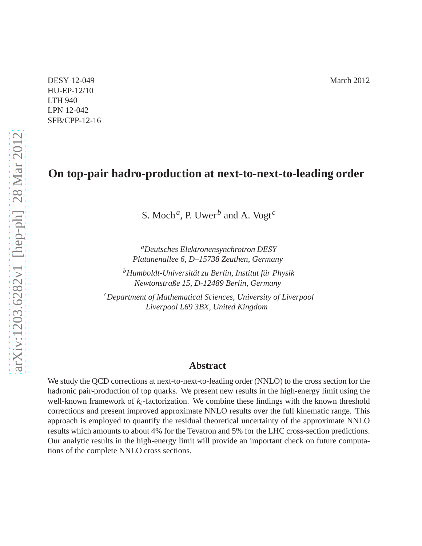DESY 12-049 March 2012 HU-EP-12/10 LTH 940 LPN 12-042 SFB/CPP-12-16

# **On top-pair hadro-production at next-to-next-to-leading order**

S. Moch*<sup>a</sup>* , P. Uwer*<sup>b</sup>* and A. Vogt*<sup>c</sup>*

*<sup>a</sup>Deutsches Elektronensynchrotron DESY Platanenallee 6, D–15738 Zeuthen, Germany*

*<sup>b</sup>Humboldt-Universität zu Berlin, Institut für Physik Newtonstraße 15, D-12489 Berlin, Germany*

*<sup>c</sup>Department of Mathematical Sciences, University of Liverpool Liverpool L69 3BX, United Kingdom*

#### **Abstract**

We study the QCD corrections at next-to-next-to-leading order (NNLO) to the cross section for the hadronic pair-production of top quarks. We present new results in the high-energy limit using the well-known framework of *kt*-factorization. We combine these findings with the known threshold corrections and present improved approximate NNLO results over the full kinematic range. This approach is employed to quantify the residual theoretical uncertainty of the approximate NNLO results which amounts to about 4% for the Tevatron and 5% for the LHC cross-section predictions. Our analytic results in the high-energy limit will provide an important check on future computations of the complete NNLO cross sections.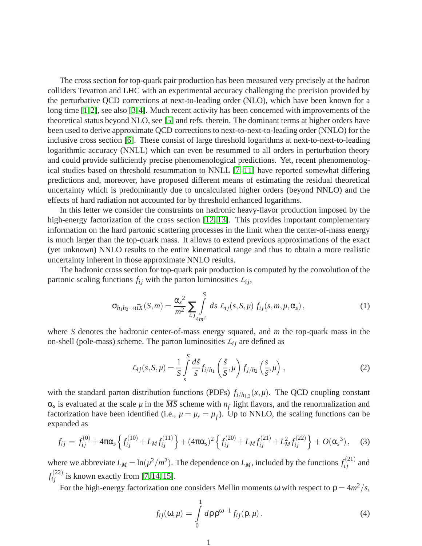The cross section for top-quark pair production has been measured very precisely at the hadron colliders Tevatron and LHC with an experimental accuracy challenging the precision provided by the perturbative QCD corrections at next-to-leading order (NLO), which have been known for a long time [\[1,](#page-11-0)[2\]](#page-11-1), see also [\[3,](#page-11-2)[4\]](#page-11-3). Much recent activity has been concerned with improvements of the theoretical status beyond NLO, see [\[5\]](#page-11-4) and refs. therein. The dominant terms at higher orders have been used to derive approximate QCD corrections to next-to-next-to-leading order (NNLO) for the inclusive cross section [\[6\]](#page-11-5). These consist of large threshold logarithms at next-to-next-to-leading logarithmic accuracy (NNLL) which can even be resummed to all orders in perturbation theory and could provide sufficiently precise phenomenological predictions. Yet, recent phenomenological studies based on threshold resummation to NNLL [\[7–](#page-11-6)[11\]](#page-11-7) have reported somewhat differing predictions and, moreover, have proposed different means of estimating the residual theoretical uncertainty which is predominantly due to uncalculated higher orders (beyond NNLO) and the effects of hard radiation not accounted for by threshold enhanced logarithms.

In this letter we consider the constraints on hadronic heavy-flavor production imposed by the high-energy factorization of the cross section [\[12,](#page-11-8) [13\]](#page-11-9). This provides important complementary information on the hard partonic scattering processes in the limit when the center-of-mass energy is much larger than the top-quark mass. It allows to extend previous approximations of the exact (yet unknown) NNLO results to the entire kinematical range and thus to obtain a more realistic uncertainty inherent in those approximate NNLO results.

The hadronic cross section for top-quark pair production is computed by the convolution of the partonic scaling functions  $f_{ij}$  with the parton luminosities  $L_{ij}$ ,

<span id="page-1-1"></span>
$$
\sigma_{h_1h_2 \to t\bar{t}X}(S,m) = \frac{\alpha_s^2}{m^2} \sum_{i,j} \int_{4m^2}^S ds \, \mathcal{L}_{ij}(s,S,\mu) \, f_{ij}(s,m,\mu,\alpha_s) \,, \tag{1}
$$

where *S* denotes the hadronic center-of-mass energy squared, and *m* the top-quark mass in the on-shell (pole-mass) scheme. The parton luminosities  $\mathcal{L}_{ij}$  are defined as

$$
\mathcal{L}_{ij}(s, S, \mu) = \frac{1}{S} \int_{s}^{S} \frac{d\hat{s}}{\hat{s}} f_{i/h_1} \left(\frac{\hat{s}}{S}, \mu\right) f_{j/h_2} \left(\frac{s}{\hat{s}}, \mu\right), \qquad (2)
$$

with the standard parton distribution functions (PDFs)  $f_{i/h_{1,2}}(x,\mu)$ . The QCD coupling constant  $\alpha_s$  is evaluated at the scale  $\mu$  in the  $\overline{MS}$  scheme with  $n_f$  light flavors, and the renormalization and factorization have been identified (i.e.,  $\mu = \mu_r = \mu_f$ ). Up to NNLO, the scaling functions can be expanded as

<span id="page-1-2"></span>
$$
f_{ij} = f_{ij}^{(0)} + 4\pi\alpha_s \left\{ f_{ij}^{(10)} + L_M f_{ij}^{(11)} \right\} + (4\pi\alpha_s)^2 \left\{ f_{ij}^{(20)} + L_M f_{ij}^{(21)} + L_M^2 f_{ij}^{(22)} \right\} + O(\alpha_s^3), \quad (3)
$$

where we abbreviate  $L_M = \ln(\mu^2/m^2)$ . The dependence on  $L_M$ , included by the functions  $f_{ij}^{(21)}$  and  $f_{ij}^{(22)}$  is known exactly from [\[7,](#page-11-6) [14,](#page-11-10) [15\]](#page-11-11).

For the high-energy factorization one considers Mellin moments  $\omega$  with respect to  $\rho = 4m^2/s$ ,

<span id="page-1-0"></span>
$$
f_{ij}(\mathbf{\omega},\mu) = \int\limits_0^1 d\rho \, \rho^{\omega-1} f_{ij}(\rho,\mu).
$$
 (4)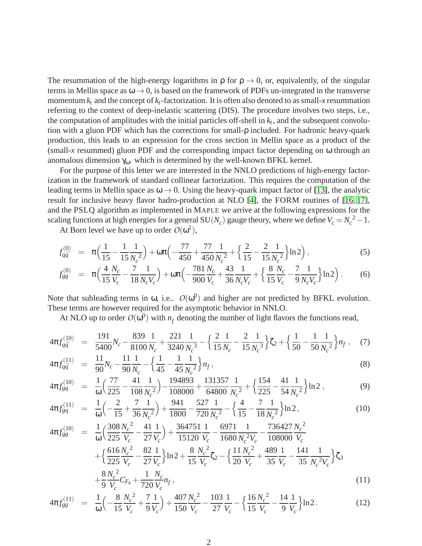The resummation of the high-energy logarithms in  $\rho$  for  $\rho \rightarrow 0$ , or, equivalently, of the singular terms in Mellin space as  $\omega \rightarrow 0$ , is based on the framework of PDFs un-integrated in the transverse momentum  $k_t$  and the concept of  $k_t$ -factorization. It is often also denoted to as small-x resummation referring to the context of deep-inelastic scattering (DIS). The procedure involves two steps, i.e., the computation of amplitudes with the initial particles of f-shell in  $k_t$ , and the subsequent convolution with a gluon PDF which has the corrections for small-ρ included. For hadronic heavy-quark production, this leads to an expression for the cross section in Mellin space as a product of the (small-*x* resummed) gluon PDF and the corresponding impact factor depending on ω through an anomalous dimension  $\gamma_{\omega}$ , which is determined by the well-known BFKL kernel.

For the purpose of this letter we are interested in the NNLO predictions of high-energy factorization in the framework of standard collinear factorization. This requires the computation of the leading terms in Mellin space as  $\omega \rightarrow 0$ . Using the heavy-quark impact factor of [\[13\]](#page-11-9), the analytic result for inclusive heavy flavor hadro-production at NLO [\[4\]](#page-11-3), the FORM routines of [\[16,](#page-11-12) [17\]](#page-11-13), and the PSLQ algorithm as implemented in MAPLE we arrive at the following expressions for the scaling functions at high energies for a general SU( $N_c$ ) gauge theory, where we define  $V_c = N_c^2 - 1$ .

At Born level we have up to order  $O(\omega^1)$ ,

<span id="page-2-0"></span>
$$
f_{q\bar{q}}^{(0)} = \pi \Big( \frac{1}{15} - \frac{1}{15} \frac{1}{N_c^2} \Big) + \omega \pi \Big( -\frac{77}{450} + \frac{77}{450} \frac{1}{N_c^2} + \Big\{ \frac{2}{15} - \frac{2}{15} \frac{1}{N_c^2} \Big\} \ln 2 \Big), \tag{5}
$$

$$
f_{gg}^{(0)} = \pi \Big( \frac{4}{15} \frac{N_c}{V_c} - \frac{7}{18} \frac{1}{N_c V_c} \Big) + \omega \pi \Big( -\frac{781}{900} \frac{N_c}{V_c} + \frac{43}{36} \frac{1}{N_c V_c} + \Big\{ \frac{8}{15} \frac{N_c}{V_c} - \frac{7}{9} \frac{1}{N_c V_c} \Big\} \ln 2 \Big) \,. \tag{6}
$$

Note that subleading terms in  $\omega$ , i.e..  $O(\omega^0)$  and higher are not predicted by BFKL evolution. These terms are however required for the asymptotic behavior in NNLO.

At NLO up to order  $O(\omega^0)$  with  $n_f$  denoting the number of light flavors the functions read,

<span id="page-2-1"></span>
$$
4\pi f_{q\bar{q}}^{(10)} = \frac{191}{5400} N_c - \frac{839}{8100} \frac{1}{N_c} + \frac{221}{3240} \frac{1}{N_c^3} - \left\{ \frac{2}{15} \frac{1}{N_c} - \frac{2}{15} \frac{1}{N_c^3} \right\} \zeta_2 + \left\{ \frac{1}{50} - \frac{1}{50} \frac{1}{N_c^2} \right\} n_f , \quad (7)
$$

$$
4\pi f_{q\bar{q}}^{(11)} = \frac{11}{90} N_c - \frac{11}{90} \frac{1}{N_c} - \left\{ \frac{1}{45} - \frac{1}{45} \frac{1}{N_c^2} \right\} n_f,
$$
\n(8)

$$
4\pi f_{gq}^{(10)} = \frac{1}{\omega} \left( \frac{77}{225} - \frac{41}{108} \frac{1}{N_c^2} \right) - \frac{194893}{108000} + \frac{131357}{64800} \frac{1}{N_c^2} + \left\{ \frac{154}{225} - \frac{41}{54} \frac{1}{N_c^2} \right\} \ln 2 ,
$$
 (9)

$$
4\pi f_{gq}^{(11)} = \frac{1}{\omega} \left( -\frac{2}{15} + \frac{7}{36} \frac{1}{N_c^2} \right) + \frac{941}{1800} - \frac{527}{720} \frac{1}{N_c^2} - \left\{ \frac{4}{15} - \frac{7}{18} \frac{1}{N_c^2} \right\} \ln 2, \tag{10}
$$

$$
4\pi f_{gg}^{(10)} = \frac{1}{\omega} \left( \frac{308}{225} \frac{N_c^2}{V_c} - \frac{41}{27} \frac{1}{V_c} \right) + \frac{364751}{15120} \frac{1}{V_c} - \frac{6971}{1680} \frac{1}{N_c^2 V_c} - \frac{736427}{108000} \frac{N_c^2}{V_c} + \frac{616 N_c^2}{225} \frac{1}{V_c} - \frac{82}{27} \frac{1}{V_c} \right) \ln 2 + \frac{8}{15} \frac{N_c^2}{V_c} \zeta_2 - \left\{ \frac{11}{20} \frac{N_c^2}{V_c} + \frac{489}{35} \frac{1}{V_c} - \frac{141}{35} \frac{1}{N_c^2 V_c} \right\} \zeta_3 + \frac{8}{9} \frac{N_c^2}{V_c} C_{F_4} + \frac{1}{720} \frac{N_c}{V_c} n_f,
$$
\n(11)

$$
4\pi f_{gg}^{(11)} = \frac{1}{\omega} \left( -\frac{8}{15} \frac{N_c^2}{V_c} + \frac{7}{9} \frac{1}{V_c} \right) + \frac{407}{150} \frac{N_c^2}{V_c} - \frac{103}{27} \frac{1}{V_c} - \left\{ \frac{16}{15} \frac{N_c^2}{V_c} - \frac{14}{9} \frac{1}{V_c} \right\} \ln 2. \tag{12}
$$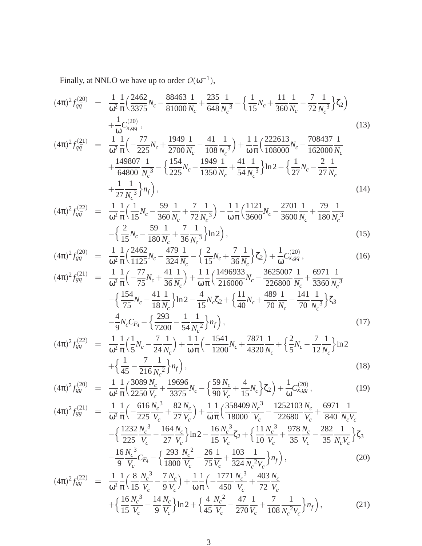Finally, at NNLO we have up to order  $O(\omega^{-1})$ ,

<span id="page-3-0"></span>
$$
(4\pi)^2 f_{q\bar{q}}^{(20)} = \frac{1}{\omega^2} \frac{1}{\pi} \Big( \frac{2462}{3375} N_c - \frac{88463}{81000} \frac{1}{N_c} + \frac{235}{648} \frac{1}{N_c^3} - \Big\{ \frac{1}{15} N_c + \frac{11}{360} \frac{1}{N_c} - \frac{7}{72} \frac{1}{N_c^3} \Big\} \zeta_2 \Big) + \frac{1}{\omega} C_{x,q\bar{q}}^{(20)},
$$
(13)  

$$
(4\pi)^2 f_{q\bar{q}}^{(21)} = \frac{1}{\omega^2} \frac{1}{\pi} \Big( -\frac{77}{225} N_c + \frac{1949}{2700} \frac{1}{N_c} - \frac{41}{108} \frac{1}{N_c^3} \Big) + \frac{1}{\omega} \frac{1}{\pi} \Big( \frac{222613}{108000} N_c - \frac{708437}{162000} \frac{1}{N_c} + \frac{149807}{64800} \frac{1}{N^3} - \Big\{ \frac{154}{275} N_c - \frac{1949}{1350} \frac{1}{N} + \frac{41}{54} \frac{1}{N^3} \Big\} \ln 2 - \Big\{ \frac{1}{27} N_c - \frac{2}{27} \frac{1}{N} \Big\}
$$
(13)

$$
\begin{aligned}\n &\quad \text{(4800 } N_c^3 \quad \text{(225)}^{\text{Vc}} \quad \text{(1350 } N_c \quad \text{(54)}^3 \text{)}^{\text{(m2)}} \quad \text{(27)}^{\text{Vc}} \quad \text{(27)}^{\text{Vc}} \\
&\quad + \frac{1}{27} \frac{1}{N_c^3} \right\} n_f \big),\n \end{aligned}\n \tag{14}
$$

$$
(4\pi)^2 f_{q\bar{q}}^{(22)} = \frac{1}{\omega^2} \frac{1}{\pi} \left( \frac{1}{15} N_c - \frac{59}{360} \frac{1}{N_c} + \frac{7}{72} \frac{1}{N_c^3} \right) - \frac{1}{\omega} \frac{1}{\pi} \left( \frac{1121}{3600} N_c - \frac{2701}{3600} \frac{1}{N_c} + \frac{79}{180} \frac{1}{N_c^3} - \left( \frac{2}{15} N_c - \frac{59}{180} \frac{1}{N_c} + \frac{7}{36} \frac{1}{N_c^3} \right) \ln 2 \right),
$$
\n(15)

$$
(4\pi)^2 f_{gq}^{(20)} = \frac{1}{\omega^2} \frac{1}{\pi} \left( \frac{2462}{1125} N_c - \frac{479}{324} \frac{1}{N_c} - \left\{ \frac{2}{15} N_c + \frac{7}{36} \frac{1}{N_c} \right\} \zeta_2 \right) + \frac{1}{\omega} C_{x, gq}^{(20)},\tag{16}
$$

$$
(4\pi)^2 f_{gq}^{(21)} = \frac{1}{\omega^2} \frac{1}{\pi} \left( -\frac{77}{75} N_c + \frac{41}{36} \frac{1}{N_c} \right) + \frac{1}{\omega} \frac{1}{\pi} \left( \frac{1496933}{216000} N_c - \frac{3625007}{226800} \frac{1}{N_c} + \frac{6971}{3360} \frac{1}{N_c^3} \right) - \left\{ \frac{154}{75} N_c - \frac{41}{18} \frac{1}{N_c} \right\} \ln 2 - \frac{4}{15} N_c \zeta_2 + \left\{ \frac{11}{40} N_c + \frac{489}{70} \frac{1}{N_c} - \frac{141}{70} \frac{1}{N_c^3} \right\} \zeta_3 - \frac{4}{9} N_c C_{F_4} - \left\{ \frac{293}{7200} - \frac{1}{54} \frac{1}{N_c^2} \right\} n_f \right),
$$
(17)

$$
(4\pi)^2 f_{gq}^{(22)} = \frac{1}{\omega^2} \frac{1}{\pi} \left( \frac{1}{5} N_c - \frac{7}{24} \frac{1}{N_c} \right) + \frac{1}{\omega} \frac{1}{\pi} \left( -\frac{1541}{1200} N_c + \frac{7871}{4320} \frac{1}{N_c} + \left( \frac{2}{5} N_c - \frac{7}{12} \frac{1}{N_c} \right) \ln 2 + \left( \frac{1}{45} - \frac{7}{216} \frac{1}{N_c^2} \right) n_f \right),
$$
\n(18)

$$
(4\pi)^2 f_{gg}^{(20)} = \frac{1}{\omega^2} \frac{1}{\pi} \Big( \frac{3089}{2250} \frac{N_c}{V_c} + \frac{19696}{3375} N_c - \Big\{ \frac{59}{90} \frac{N_c}{V_c} + \frac{4}{15} N_c \Big\} \zeta_2 \Big) + \frac{1}{\omega} C_{x,gg}^{(20)},
$$
(19)

$$
(4\pi)^{2} f_{gg}^{(21)} = \frac{1}{\omega^{2}} \frac{1}{\pi} \Big( -\frac{616}{225} \frac{N_{c}^{3}}{V_{c}} + \frac{82}{27} \frac{N_{c}}{V_{c}} \Big) + \frac{1}{\omega} \frac{1}{\pi} \Big( \frac{358409}{18000} \frac{N_{c}^{3}}{V_{c}} - \frac{1252103}{22680} \frac{N_{c}}{V_{c}} + \frac{6971}{840} \frac{1}{N_{c}V_{c}} - \frac{1232}{225} \frac{N_{c}^{3}}{V_{c}} - \frac{164}{27} \frac{N_{c}}{V_{c}} \Big) \ln 2 - \frac{16}{15} \frac{N_{c}^{3}}{V_{c}} \zeta_{2} + \Big\{ \frac{11}{10} \frac{N_{c}^{3}}{V_{c}} + \frac{978}{35} \frac{N_{c}}{V_{c}} - \frac{282}{35} \frac{1}{N_{c}V_{c}} \Big\} \zeta_{3} - \frac{16 N_{c}^{3}}{9} \frac{V_{c}}{V_{c}} C_{F_{4}} - \Big\{ \frac{293}{1800} \frac{N_{c}^{2}}{V_{c}} - \frac{26}{75} \frac{1}{V_{c}} + \frac{103}{324} \frac{1}{N_{c}^{2}V_{c}} \Big\} n_{f} \Big\},
$$
\n
$$
(4\pi)^{2} f_{c}^{(22)} = \frac{1}{1} \frac{1}{1} \Big( \frac{8}{180} \frac{N_{c}^{3}}{N_{c}} - \frac{7N_{c}}{1} \Big) + \frac{1}{1} \Big( \frac{1771}{1771} \frac{N_{c}^{3}}{N_{c}} + \frac{403}{324} \frac{N_{c}}{N_{c}} \Big)
$$
\n
$$
(4\pi)^{2} f_{c}^{(22)} = \frac{1}{1} \frac{1}{1} \Big( \frac{8}{180} \frac{N_{c}^{3}}{N_{c}} - \frac{7N_{c}}{1} \Big) + \frac{1}{1} \Big( \frac{1771}{180} \frac{N_{c}^{
$$

$$
(4\pi)^2 f_{gg}^{(22)} = \frac{1}{\omega^2} \frac{1}{\pi} \left( \frac{8}{15} \frac{N_c^3}{V_c} - \frac{7}{9} \frac{N_c}{V_c} \right) + \frac{1}{\omega} \frac{1}{\pi} \left( -\frac{1771}{450} \frac{N_c^3}{V_c} + \frac{403}{72} \frac{N_c}{V_c} + \frac{403}{72} \frac{N_c}{V_c} + \frac{16}{15} \frac{N_c^3}{V_c} - \frac{14}{9} \frac{N_c}{V_c} \right) \ln 2 + \left\{ \frac{4}{45} \frac{N_c^2}{V_c} - \frac{47}{270} \frac{1}{V_c} + \frac{7}{108} \frac{1}{N_c^2 V_c} \right\} n_f \right),
$$
\n(21)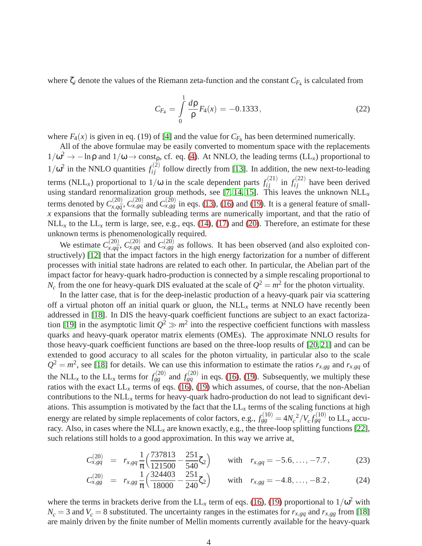where  $\zeta_i$  denote the values of the Riemann zeta-function and the constant  $C_{F_4}$  is calculated from

$$
C_{F_4} = \int\limits_0^1 \frac{d\rho}{\rho} F_4(x) = -0.1333\,,\tag{22}
$$

where  $F_4(x)$  is given in eq. (19) of [\[4\]](#page-11-3) and the value for  $C_{F_4}$  has been determined numerically.

All of the above formulae may be easily converted to momentum space with the replacements  $1/\omega^2 \to -\ln \rho$  and  $1/\omega \to \text{const}_{\rho}$ , cf. eq. [\(4\)](#page-1-0). At NNLO, the leading terms (LL<sub>x</sub>) proportional to  $1/\omega^2$  in the NNLO quantities  $f_{ij}^{(2)}$  follow directly from [\[13\]](#page-11-9). In addition, the new next-to-leading terms (NLL<sub>x</sub>) proportional to  $1/\omega$  in the scale dependent parts  $f_{ij}^{(21)}$  in  $f_{ij}^{(22)}$  have been derived using standard renormalization group methods, see  $[7, 14, 15]$  $[7, 14, 15]$  $[7, 14, 15]$ . This leaves the unknown  $\text{NLL}_x$ terms denoted by  $C_{x,a\bar{a}}^{(20)}$  $\chi_{x,q\bar{q}}^{(20)}$ ,  $C_{x,gg}^{(20)}$  and  $C_{x,gg}^{(20)}$  in eqs. [\(13\)](#page-3-0), [\(16\)](#page-3-0) and [\(19\)](#page-3-0). It is a general feature of small*x* expansions that the formally subleading terms are numerically important, and that the ratio of  $NLL_x$  to the  $LL_x$  term is large, see, e.g., eqs. [\(14\)](#page-3-0), [\(17\)](#page-3-0) and [\(20\)](#page-3-0). Therefore, an estimate for these unknown terms is phenomenologically required.

We estimate  $C_{x, a\bar{a}}^{(20)}$  $\chi$ <sup>(20)</sup>,  $C^{(20)}_{x,q\bar{q}}$  and  $C^{(20)}_{x,gg}$  as follows. It has been observed (and also exploited constructively) [\[12\]](#page-11-8) that the impact factors in the high energy factorization for a number of different processes with initial state hadrons are related to each other. In particular, the Abelian part of the impact factor for heavy-quark hadro-production is connected by a simple rescaling proportional to  $N_c$  from the one for heavy-quark DIS evaluated at the scale of  $Q^2 = m^2$  for the photon virtuality.

In the latter case, that is for the deep-inelastic production of a heavy-quark pair via scattering off a virtual photon off an initial quark or gluon, the  $NLL<sub>x</sub>$  terms at NNLO have recently been addressed in [\[18\]](#page-11-14). In DIS the heavy-quark coefficient functions are subject to an exact factoriza-tion [\[19\]](#page-11-15) in the asymptotic limit  $Q^2 \gg m^2$  into the respective coefficient functions with massless quarks and heavy-quark operator matrix elements (OMEs). The approximate NNLO results for those heavy-quark coefficient functions are based on the three-loop results of [\[20,](#page-11-16) [21\]](#page-11-17) and can be extended to good accuracy to all scales for the photon virtuality, in particular also to the scale  $Q^2 = m^2$ , see [\[18\]](#page-11-14) for details. We can use this information to estimate the ratios  $r_{x,gg}$  and  $r_{x,gg}$  of the NLL<sub>*x*</sub> to the LL<sub>*x*</sub> terms for  $f_{gg}^{(20)}$  and  $f_{gg}^{(20)}$  in eqs. [\(16\)](#page-3-0), [\(19\)](#page-3-0). Subsequently, we multiply these ratios with the exact  $LL_x$  terms of eqs. [\(16\)](#page-3-0), [\(19\)](#page-3-0) which assumes, of course, that the non-Abelian contributions to the NLL*<sup>x</sup>* terms for heavy-quark hadro-production do not lead to significant deviations. This assumption is motivated by the fact that the  $LL<sub>x</sub>$  terms of the scaling functions at high energy are related by simple replacements of color factors, e.g.,  $f_{gg}^{(10)} = 4N_c^2/V_c f_{gq}^{(10)}$  to LL<sub>x</sub> accuracy. Also, in cases where the  $NLL<sub>x</sub>$  are known exactly, e.g., the three-loop splitting functions [\[22\]](#page-11-18), such relations still holds to a good approximation. In this way we arrive at,

<span id="page-4-0"></span>
$$
C_{x, gq}^{(20)} = r_{x, gq} \frac{1}{\pi} \left( \frac{737813}{121500} - \frac{251}{540} \zeta_2 \right) \quad \text{with} \quad r_{x, gq} = -5.6, \dots, -7.7, \tag{23}
$$

$$
C_{x,gg}^{(20)} = r_{x,gg} \frac{1}{\pi} \left( \frac{324403}{18000} - \frac{251}{240} \zeta_2 \right) \quad \text{with} \quad r_{x,gg} = -4.8, \dots, -8.2, \tag{24}
$$

where the terms in brackets derive from the  $LL_x$  term of eqs. [\(16\)](#page-3-0), [\(19\)](#page-3-0) proportional to  $1/\omega^2$  with  $N_c = 3$  and  $V_c = 8$  substituted. The uncertainty ranges in the estimates for  $r_{x,gg}$  and  $r_{x,gg}$  from [\[18\]](#page-11-14) are mainly driven by the finite number of Mellin moments currently available for the heavy-quark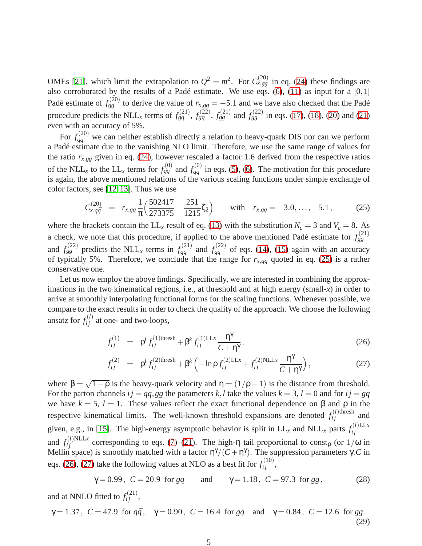OMEs [\[21\]](#page-11-17), which limit the extrapolation to  $Q^2 = m^2$ . For  $C_{x,gg}^{(20)}$  in eq. [\(24\)](#page-4-0) these findings are also corroborated by the results of a Padé estimate. We use eqs.  $(6)$ ,  $(11)$  as input for a  $[0,1]$ Padé estimate of  $f_{gg}^{(20)}$  to derive the value of  $r_{x,gg} = -5.1$  and we have also checked that the Padé procedure predicts the NLL<sub>x</sub> terms of  $f_{gq}^{(21)}$  $f_{gq}^{(21)}$  $f_{gq}^{(21)}$ ,  $f_{gq}^{(22)}$ ,  $f_{gg}^{(21)}$  and  $f_{gg}^{(22)}$  in eqs. [\(17\)](#page-3-0), [\(18\)](#page-3-0), [\(20\)](#page-3-0) and (21) even with an accuracy of 5%.

For  $f_{q\bar{q}}^{(20)}$  we can neither establish directly a relation to heavy-quark DIS nor can we perform a Padé estimate due to the vanishing NLO limit. Therefore, we use the same range of values for the ratio  $r_{x,gg}$  given in eq. [\(24\)](#page-4-0), however rescaled a factor 1.6 derived from the respective ratios of the NLL<sub>*x*</sub> to the LL<sub>*x*</sub> terms for  $f_{gg}^{(0)}$  and  $f_{a\bar{a}}^{(0)}$  $q\bar{q}$  in eqs. [\(5\)](#page-2-0), [\(6\)](#page-2-0). The motivation for this procedure is again, the above mentioned relations of the various scaling functions under simple exchange of color factors, see [\[12,](#page-11-8) [13\]](#page-11-9). Thus we use

<span id="page-5-0"></span>
$$
C_{x,q\bar{q}}^{(20)} = r_{x,qq} \frac{1}{\pi} \left( \frac{502417}{273375} - \frac{251}{1215} \zeta_2 \right) \quad \text{with} \quad r_{x,qq} = -3.0, \dots, -5.1, \tag{25}
$$

where the brackets contain the LL<sub>*x*</sub> result of eq. [\(13\)](#page-3-0) with the substitution  $N_c = 3$  and  $V_c = 8$ . As a check, we note that this procedure, if applied to the above mentioned Padé estimate for  $f_{gg}^{(21)}$ and  $f_{gg}^{(22)}$  predicts the NLL<sub>x</sub> terms in  $f_{q\bar{q}}^{(21)}$  $f_{q\bar{q}}^{(21)}$  and  $f_{q\bar{q}}^{(22)}$  $q\bar{q}$  of eqs. [\(14\)](#page-3-0), [\(15\)](#page-3-0) again with an accuracy of typically 5%. Therefore, we conclude that the range for  $r_{x,qq}$  quoted in eq. [\(25\)](#page-5-0) is a rather conservative one.

Let us now employ the above findings. Specifically, we are interested in combining the approximations in the two kinematical regions, i.e., at threshold and at high energy (small-*x*) in order to arrive at smoothly interpolating functional forms for the scaling functions. Whenever possible, we compare to the exact results in order to check the quality of the approach. We choose the following ansatz for  $f_{ij}^{(l)}$  at one- and two-loops,

<span id="page-5-1"></span>
$$
f_{ij}^{(1)} = \rho^l f_{ij}^{(1) \text{thresh}} + \beta^k f_{ij}^{(1) LLx} \frac{\eta^{\gamma}}{C + \eta^{\gamma}},
$$
\n(26)

$$
f_{ij}^{(2)} = \rho^l f_{ij}^{(2) \text{thresh}} + \beta^k \left( -\ln \rho f_{ij}^{(2) LLx} + f_{ij}^{(2) NLLx} \frac{\eta^{\gamma}}{C + \eta^{\gamma}} \right), \tag{27}
$$

where  $\beta = \sqrt{1-\rho}$  is the heavy-quark velocity and  $\eta = (1/\rho - 1)$  is the distance from threshold. For the parton channels  $ij = q\bar{q}$ , gg the parameters  $k, l$  take the values  $k = 3, l = 0$  and for  $ij = gq$ we have  $k = 5$ ,  $l = 1$ . These values reflect the exact functional dependence on  $\beta$  and  $\rho$  in the respective kinematical limits. The well-known threshold expansions are denoted  $f_{ij}^{(l)$ thresh and given, e.g., in [\[15\]](#page-11-11). The high-energy asymptotic behavior is split in  $LL_x$  and  $NLL_x$  parts  $f_{ij}^{(l)LLx}$ *i j* and  $f_{ij}^{(l)NLLx}$  corresponding to eqs. [\(7\)](#page-2-1)–[\(21\)](#page-3-0). The high-η tail proportional to const<sub>p</sub> (or  $1/\omega$  in Mellin space) is smoothly matched with a factor  $\eta^{\gamma}/(C+\eta^{\gamma})$ . The suppression parameters  $\gamma$ , C in eqs. [\(26\)](#page-5-1), [\(27\)](#page-5-1) take the following values at NLO as a best fit for  $f_{ij}^{(10)}$ ,

<span id="page-5-2"></span>
$$
\gamma = 0.99
$$
,  $C = 20.9$  for  $gq$  and  $\gamma = 1.18$ ,  $C = 97.3$  for  $gg$ , (28)

and at NNLO fitted to  $f_{ij}^{(21)}$ ,

<span id="page-5-3"></span>
$$
\gamma = 1.37
$$
,  $C = 47.9$  for  $q\bar{q}$ ,  $\gamma = 0.90$ ,  $C = 16.4$  for  $gq$  and  $\gamma = 0.84$ ,  $C = 12.6$  for  $gg$ . (29)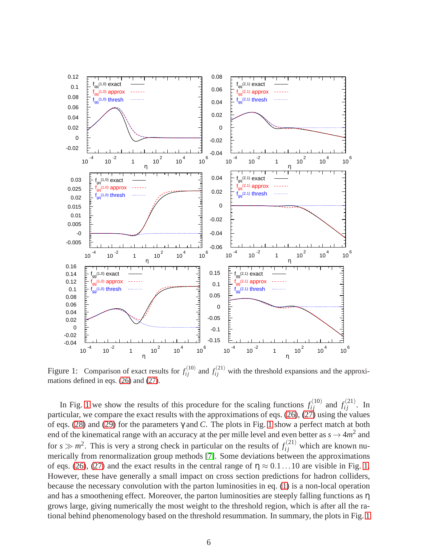

<span id="page-6-0"></span>Figure 1: Comparison of exact results for  $f_{ij}^{(10)}$  and  $f_{ij}^{(21)}$  with the threshold expansions and the approximations defined in eqs. [\(26\)](#page-5-1) and [\(27\)](#page-5-1).

In Fig. [1](#page-6-0) we show the results of this procedure for the scaling functions  $f_{ij}^{(10)}$  and  $f_{ij}^{(21)}$ . In particular, we compare the exact results with the approximations of eqs.  $(26)$ ,  $(27)$  using the values of eqs. [\(28\)](#page-5-2) and [\(29\)](#page-5-3) for the parameters γ and *C*. The plots in Fig. [1](#page-6-0) show a perfect match at both end of the kinematical range with an accuracy at the per mille level and even better as  $s \to 4m^2$  and for  $s \gg m^2$ . This is very a strong check in particular on the results of  $f_{ij}^{(21)}$  which are known numerically from renormalization group methods [\[7\]](#page-11-6). Some deviations between the approximations of eqs. [\(26\)](#page-5-1), [\(27\)](#page-5-1) and the exact results in the central range of  $\eta \approx 0.1...10$  are visible in Fig. [1.](#page-6-0) However, these have generally a small impact on cross section predictions for hadron colliders, because the necessary convolution with the parton luminosities in eq. [\(1\)](#page-1-1) is a non-local operation and has a smoothening effect. Moreover, the parton luminosities are steeply falling functions as η grows large, giving numerically the most weight to the threshold region, which is after all the rational behind phenomenology based on the threshold resummation. In summary, the plots in Fig. [1](#page-6-0)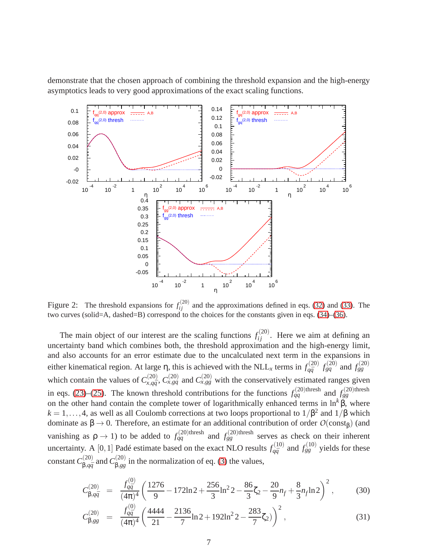demonstrate that the chosen approach of combining the threshold expansion and the high-energy asymptotics leads to very good approximations of the exact scaling functions.



<span id="page-7-0"></span>Figure 2: The threshold expansions for  $f_{ij}^{(20)}$  and the approximations defined in eqs. [\(32\)](#page-8-0) and [\(33\)](#page-8-0). The two curves (solid=A, dashed=B) correspond to the choices for the constants given in eqs. [\(34\)](#page-8-1)–[\(36\)](#page-8-1).

The main object of our interest are the scaling functions  $f_{ij}^{(20)}$ . Here we aim at defining an uncertainty band which combines both, the threshold approximation and the high-energy limit, and also accounts for an error estimate due to the uncalculated next term in the expansions in either kinematical region. At large η, this is achieved with the NLL<sub>*x*</sub> terms in  $f_{q\bar{q}}^{(20)}$  $f_{gq}^{(20)}$   $f_{gq}^{(20)}$  and  $f_{gg}^{(20)}$ which contain the values of  $C_{x,a\bar{a}}^{(20)}$  $\chi_{x,q\bar{q}}^{(20)}$ ,  $C_{x,gg}^{(20)}$  and  $C_{x,gg}^{(20)}$  with the conservatively estimated ranges given in eqs. [\(23\)](#page-4-0)–[\(25\)](#page-5-0). The known threshold contributions for the functions  $f_{qq}^{(20)$ thresh and  $f_{gg}^{(20)$ thresh on the other hand contain the complete tower of logarithmically enhanced terms in  $\ln^k \beta$ , where  $k = 1, ..., 4$ , as well as all Coulomb corrections at two loops proportional to  $1/\beta^2$  and  $1/\beta$  which dominate as  $\beta \rightarrow 0$ . Therefore, an estimate for an additional contribution of order *O*(const<sub>β</sub>) (and vanishing as  $\rho \to 1$ ) to be added to  $f_{qq}^{(20)$ thresh and  $f_{gg}^{(20)$ thresh serves as check on their inherent uncertainty. A [0, 1] Padé estimate based on the exact NLO results  $f_{a\bar{a}}^{(10)}$  $f_{gq}^{(10)}$  and  $f_{gg}^{(10)}$  yields for these constant  $C^{(20)}_{\mathsf{B},\sigma\bar{\sigma}}$ <sup>,(20)</sup> and  $C_{\beta,gg}^{(20)}$  $\beta_{.gg}^{(20)}$  in the normalization of eq. [\(3\)](#page-1-2) the values,

<span id="page-7-1"></span>
$$
C_{\beta,q\bar{q}}^{(20)} = \frac{f_{q\bar{q}}^{(0)}}{(4\pi)^4} \left(\frac{1276}{9} - 172\ln 2 + \frac{256}{3}\ln^2 2 - \frac{86}{3}\zeta_2 - \frac{20}{9}n_f + \frac{8}{3}n_f\ln 2\right)^2, \tag{30}
$$

$$
C_{\beta,gg}^{(20)} = \frac{f_{q\bar{q}}^{(0)}}{(4\pi)^4} \left(\frac{4444}{21} - \frac{2136}{7} \ln 2 + 192 \ln^2 2 - \frac{283}{7} \zeta_2\right)^2, \tag{31}
$$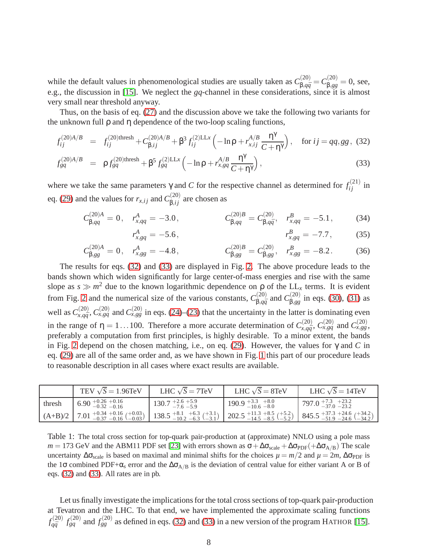while the default values in phenomenological studies are usually taken as  $C_{\beta,q\bar{q}}^{(20)} = C_{\beta,gg}^{(20)} = 0$ , see, e.g., the discussion in [\[15\]](#page-11-11). We neglect the *gq*-channel in these considerations, since it is almost very small near threshold anyway.

Thus, on the basis of eq. [\(27\)](#page-5-1) and the discussion above we take the following two variants for the unknown full  $ρ$  and  $η$  dependence of the two-loop scaling functions,

<span id="page-8-0"></span>
$$
f_{ij}^{(20)A/B} = f_{ij}^{(20)\text{thresh}} + C_{\beta,ij}^{(20)A/B} + \beta^3 f_{ij}^{(2)\text{LL}x} \left( -\ln \rho + r_{x,ij}^{A/B} \frac{\eta^{\gamma}}{C + \eta^{\gamma}} \right), \text{ for } ij = qq, gg, (32)
$$

$$
f_{gq}^{(20)A/B} = \rho f_{gq}^{(20)\text{thresh}} + \beta^5 f_{gq}^{(2)\text{LL}x} \left( -\ln \rho + r_{x, gq}^{A/B} \frac{\eta^{\gamma}}{C + \eta^{\gamma}} \right), \tag{33}
$$

where we take the same parameters  $\gamma$  and *C* for the respective channel as determined for  $f_{ij}^{(21)}$  in eq. [\(29\)](#page-5-3) and the values for  $r_{x,ij}$  and  $C_{\beta,ij}^{(20)}$  are chosen as

<span id="page-8-1"></span>
$$
C_{\beta,qq}^{(20)A} = 0, \quad r_{x,qq}^A = -3.0, \qquad C_{\beta,qq}^{(20)B} = C_{\beta,q\bar{q}}^{(20)}, \quad r_{x,qq}^B = -5.1, \qquad (34)
$$
\n
$$
r_{x,\rho q}^A = -5.6, \qquad r_{x,\rho q}^B = -7.7, \qquad (35)
$$

$$
r_{x, gq}^A = -5.6, \qquad r_{x, gq}^B = -7.7, \qquad (35)
$$

$$
C_{\beta,gg}^{(20)A} = 0, \quad r_{x,gg}^A = -4.8, \qquad C_{\beta,gg}^{(20)B} = C_{\beta,gg}^{(20)}, \quad r_{x,gg}^B = -8.2. \tag{36}
$$

The results for eqs. [\(32\)](#page-8-0) and [\(33\)](#page-8-0) are displayed in Fig. [2.](#page-7-0) The above procedure leads to the bands shown which widen significantly for large center-of-mass energies and rise with the same slope as  $s \gg m^2$  due to the known logarithmic dependence on  $\rho$  of the LL<sub>x</sub> terms. It is evident from Fig. [2](#page-7-0) and the numerical size of the various constants,  $C_{\rm R, c\bar{c}}^{(20)}$  $\beta$ <sub>,*q* $\bar{q}$  and  $C_{\beta,gg}^{(20)}$ </sub>  $\beta_{sgg}^{(20)}$  in eqs. [\(30\)](#page-7-1), [\(31\)](#page-7-1) as well as  $C_{x,a\bar{a}}^{(20)}$  $\chi$ <sup>(20</sup>),  $C_{x, gq}^{(20)}$  and  $C_{x, gg}^{(20)}$  in eqs. [\(24\)](#page-4-0)–[\(23\)](#page-4-0) that the uncertainty in the latter is dominating even in the range of  $\eta = 1...100$ . Therefore a more accurate determination of  $C_{x,a\bar{a}}^{(20)}$  $\alpha_{x,q\bar{q}}^{(20)}$ ,  $C_{x, gq}^{(20)}$  and  $C_{x,gg}^{(20)}$ , preferably a computation from first principles, is highly desirable. To a minor extent, the bands in Fig. [2](#page-7-0) depend on the chosen matching, i.e., on eq. [\(29\)](#page-5-3). However, the values for γ and *C* in eq. [\(29\)](#page-5-3) are all of the same order and, as we have shown in Fig. [1](#page-6-0) this part of our procedure leads to reasonable description in all cases where exact results are available.

|        | TEV $\sqrt{s}$ = 1.96TeV                                                                              | LHC $\sqrt{S}$ = 7TeV                                         | LHC $\sqrt{S} = 8$ TeV               | LHC $\sqrt{S} = 14$ TeV                                                                                                         |
|--------|-------------------------------------------------------------------------------------------------------|---------------------------------------------------------------|--------------------------------------|---------------------------------------------------------------------------------------------------------------------------------|
| thresh | $6.90_{\,-0.32\,-0.16}^{\,+0.26\,+0.16}$                                                              | $130.7_{\,-7.6\,-5.9}^{\,+2.6\,+5.9}$                         | $190.9 + 3.3 + 8.0$<br>$-10.6 - 8.0$ | $797.0_{-37.0}^{+7.3}~_{-23.2}^{+23.2}$                                                                                         |
|        | $\left[ (A+B)/2 \right]$ 7.01 $^{+0.34}_{-0.37}$ $^{+0.16}_{-0.16}$ $\left( ^{+0.03}_{-0.03} \right)$ | $138.5$ $^{+8.1}_{-10.2}$ $^{+6.3}_{-6.3}$ $(^{+3.1}_{-3.1})$ |                                      | $202.5$ $^{+11.3}_{-14.5}$ $^{+8.5}_{-8.5}$ $(^{+5.2}_{-5.2})$ 845.5 $^{+37.3}_{-51.9}$ $^{+24.6}_{-24.6}$ $(^{+34.2}_{-34.2})$ |

<span id="page-8-2"></span>Table 1: The total cross section for top-quark pair-production at (approximate) NNLO using a pole mass  $m = 173$  GeV and the ABM11 PDF set [\[23\]](#page-11-19) with errors shown as  $\sigma + \Delta \sigma_{scale} + \Delta \sigma_{PDF}(+\Delta \sigma_{A/B})$  The scale uncertainty  $\Delta \sigma_{scale}$  is based on maximal and minimal shifts for the choices  $\mu = m/2$  and  $\mu = 2m$ ,  $\Delta \sigma_{PDF}$  is the 1 $\sigma$  combined PDF+ $\alpha_s$  error and the  $\Delta \sigma_{A/B}$  is the deviation of central value for either variant A or B of eqs. [\(32\)](#page-8-0) and [\(33\)](#page-8-0). All rates are in pb.

Let us finally investigate the implications for the total cross sections of top-quark pair-production at Tevatron and the LHC. To that end, we have implemented the approximate scaling functions  $f_{a\bar{a}}^{(20)}$  $f_{q\bar{q}}^{(20)}$  *f*<sub> $g$ </sub><sup>(20)</sup> and *f*<sub> $g$ </sub><sup>(20)</sup> as defined in eqs. [\(32\)](#page-8-0) and [\(33\)](#page-8-0) in a new version of the program HATHOR [\[15\]](#page-11-11).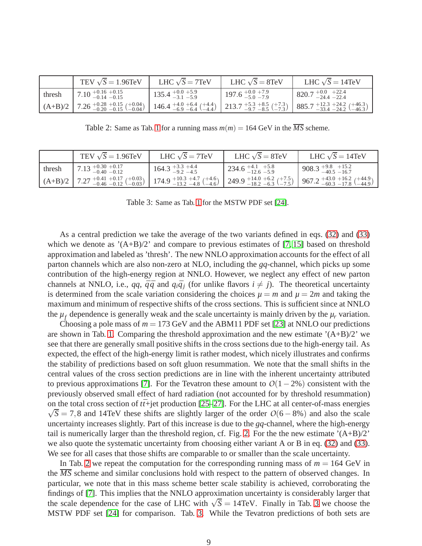|        | TEV $\sqrt{s}$ = 1.96TeV                                                  | LHC $\sqrt{S}$ = 7TeV                                                                                                 | LHC $\sqrt{S} = 8$ TeV        | LHC $\sqrt{S} = 14$ TeV                                       |
|--------|---------------------------------------------------------------------------|-----------------------------------------------------------------------------------------------------------------------|-------------------------------|---------------------------------------------------------------|
| thresh | $7.10_{-0.14}^{+0.16}$ +0.15                                              | $135.4^{+0.0}_{-3.1}$ -5.9                                                                                            | $197.6^{+0.0+7.9}_{-5.0-7.9}$ | $820.7_{\,-24.4\,-22.4}^{\,+0.0\,+22.4}$                      |
|        | $(A+B)/2$ 7.26 $^{+0.28}_{-0.20}$ $^{+0.15}_{-0.15}$ $(^{+0.04}_{-0.04})$ | $146.4^{+4.0}_{-6.9}$ $^{+6.4}_{-6.4}$ $^{+4.4}_{-4.4}$ $\Big  213.7^{+5.3}_{-9.7}$ $^{+8.5}_{-8.5}$ $^{+7.3}_{-7.3}$ |                               | $885.7_{-33.4}^{+12.3}{}_{-24.2}^{+24.2}{}_{(-46.3)}^{+46.3}$ |

<span id="page-9-0"></span>Table 2: Same as Tab. [1](#page-8-2) for a running mass  $m(m) = 164$  GeV in the  $\overline{MS}$  scheme.

|        | TEV $\sqrt{s}$ = 1.96TeV                                                                 | LHC $\sqrt{S}$ = 7TeV                | LHC $\sqrt{S} = 8$ TeV                 | LHC $\sqrt{S} = 14$ TeV                                                                   |
|--------|------------------------------------------------------------------------------------------|--------------------------------------|----------------------------------------|-------------------------------------------------------------------------------------------|
| thresh | $7.13 + 0.30 + 0.17$<br>$-0.40 - 0.12$                                                   | $164.3_{-9.2}^{+3.3}~_{-4.5}^{+4.4}$ | $234.6_{\,-12.6\,-5.9}^{\,+4.1\,+5.8}$ | $908.3_{\,-40.5\,-16.7}^{\,+9.8\,+15.2}$                                                  |
|        | $\left[ (A+B)/2 \right]$ 7.27 $^{+0.41}_{-0.46}$ $^{+0.17}_{-0.12}$ $^{+0.03}_{-0.03}$ ) |                                      |                                        | $174.9_{-13.2}^{+10.3}$ +4.7 (+4.6) 249.9 + 14.0 + 6.2 (+7.5) 967.2 + 43.0 + 16.2 (+44.9) |

<span id="page-9-1"></span>Table 3: Same as Tab. [1](#page-8-2) for the MSTW PDF set [\[24\]](#page-11-20).

As a central prediction we take the average of the two variants defined in eqs. [\(32\)](#page-8-0) and [\(33\)](#page-8-0) which we denote as  $(A+B)/2$  and compare to previous estimates of [\[7,](#page-11-6) [15\]](#page-11-11) based on threshold approximation and labeled as 'thresh'. The new NNLO approximation accounts for the effect of all parton channels which are also non-zero at NLO, including the *gq*-channel, which picks up some contribution of the high-energy region at NNLO. However, we neglect any effect of new parton channels at NNLO, i.e., *qq*,  $\bar{q}\bar{q}$  and  $q_i\bar{q}_i$  (for unlike flavors  $i \neq j$ ). The theoretical uncertainty is determined from the scale variation considering the choices  $\mu = m$  and  $\mu = 2m$  and taking the maximum and minimum of respective shifts of the cross sections. This is sufficient since at NNLO the  $\mu_f$  dependence is generally weak and the scale uncertainty is mainly driven by the  $\mu_r$  variation.

Choosing a pole mass of  $m = 173$  GeV and the ABM11 PDF set [\[23\]](#page-11-19) at NNLO our predictions are shown in Tab. [1.](#page-8-2) Comparing the threshold approximation and the new estimate  $(A+B)/2$  we see that there are generally small positive shifts in the cross sections due to the high-energy tail. As expected, the effect of the high-energy limit is rather modest, which nicely illustrates and confirms the stability of predictions based on soft gluon resummation. We note that the small shifts in the central values of the cross section predictions are in line with the inherent uncertainty attributed to previous approximations [\[7\]](#page-11-6). For the Tevatron these amount to  $O(1-2\%)$  consistent with the previously observed small effect of hard radiation (not accounted for by threshold resummation) on the total cross section of  $t\bar{t}$ +jet production [\[25–](#page-11-21)[27\]](#page-11-22). For the LHC at all center-of-mass energies  $\sqrt{S} = 7.8$  and 14TeV these shifts are slightly larger of the order  $O(6 - 8%)$  and also the scale uncertainty increases slightly. Part of this increase is due to the *gq*-channel, where the high-energy tail is numerically larger than the threshold region, cf. Fig. [2.](#page-7-0) For the the new estimate  $(A+B)/2$ we also quote the systematic uncertainty from choosing either variant A or B in eq. [\(32\)](#page-8-0) and [\(33\)](#page-8-0). We see for all cases that those shifts are comparable to or smaller than the scale uncertainty.

In Tab. [2](#page-9-0) we repeat the computation for the corresponding running mass of  $m = 164$  GeV in the *MS* scheme and similar conclusions hold with respect to the pattern of observed changes. In particular, we note that in this mass scheme better scale stability is achieved, corroborating the findings of [\[7\]](#page-11-6). This implies that the NNLO approximation uncertainty is considerably larger that the scale dependence for the case of LHC with  $\sqrt{S} = 14 \text{TeV}$ . Finally in Tab. [3](#page-9-1) we choose the MSTW PDF set [\[24\]](#page-11-20) for comparison. Tab. [3.](#page-9-1) While the Tevatron predictions of both sets are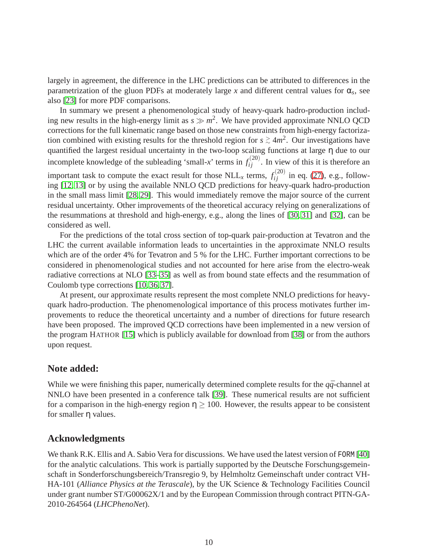largely in agreement, the difference in the LHC predictions can be attributed to differences in the parametrization of the gluon PDFs at moderately large  $x$  and different central values for  $\alpha_s$ , see also [\[23\]](#page-11-19) for more PDF comparisons.

In summary we present a phenomenological study of heavy-quark hadro-production including new results in the high-energy limit as  $s \gg m^2$ . We have provided approximate NNLO QCD corrections for the full kinematic range based on those new constraints from high-energy factorization combined with existing results for the threshold region for  $s \gtrsim 4m^2$ . Our investigations have quantified the largest residual uncertainty in the two-loop scaling functions at large η due to our incomplete knowledge of the subleading 'small-x' terms in  $f_{ij}^{(20)}$ . In view of this it is therefore an important task to compute the exact result for those  $NLL_x$  terms,  $f_{ij}^{(20)}$  in eq. [\(27\)](#page-5-1), e.g., following [\[12,](#page-11-8) [13\]](#page-11-9) or by using the available NNLO QCD predictions for heavy-quark hadro-production in the small mass limit [\[28,](#page-11-23) [29\]](#page-11-24). This would immediately remove the major source of the current residual uncertainty. Other improvements of the theoretical accuracy relying on generalizations of the resummations at threshold and high-energy, e.g., along the lines of [\[30,](#page-11-25) [31\]](#page-11-26) and [\[32\]](#page-11-27), can be considered as well.

For the predictions of the total cross section of top-quark pair-production at Tevatron and the LHC the current available information leads to uncertainties in the approximate NNLO results which are of the order 4% for Tevatron and 5 % for the LHC. Further important corrections to be considered in phenomenological studies and not accounted for here arise from the electro-weak radiative corrections at NLO [\[33](#page-11-28)[–35\]](#page-11-29) as well as from bound state effects and the resummation of Coulomb type corrections [\[10,](#page-11-30) [36,](#page-11-31) [37\]](#page-12-0).

At present, our approximate results represent the most complete NNLO predictions for heavyquark hadro-production. The phenomenological importance of this process motivates further improvements to reduce the theoretical uncertainty and a number of directions for future research have been proposed. The improved QCD corrections have been implemented in a new version of the program HATHOR [\[15\]](#page-11-11) which is publicly available for download from [\[38\]](#page-12-1) or from the authors upon request.

### **Note added:**

While we were finishing this paper, numerically determined complete results for the  $q\bar{q}$ -channel at NNLO have been presented in a conference talk [\[39\]](#page-12-2). These numerical results are not sufficient for a comparison in the high-energy region  $\eta \geq 100$ . However, the results appear to be consistent for smaller η values.

### **Acknowledgments**

We thank R.K. Ellis and A. Sabio Vera for discussions. We have used the latest version of FORM [\[40\]](#page-12-3) for the analytic calculations. This work is partially supported by the Deutsche Forschungsgemeinschaft in Sonderforschungsbereich/Transregio 9, by Helmholtz Gemeinschaft under contract VH-HA-101 (*Alliance Physics at the Terascale*), by the UK Science & Technology Facilities Council under grant number ST/G00062X/1 and by the European Commission through contract PITN-GA-2010-264564 (*LHCPhenoNet*).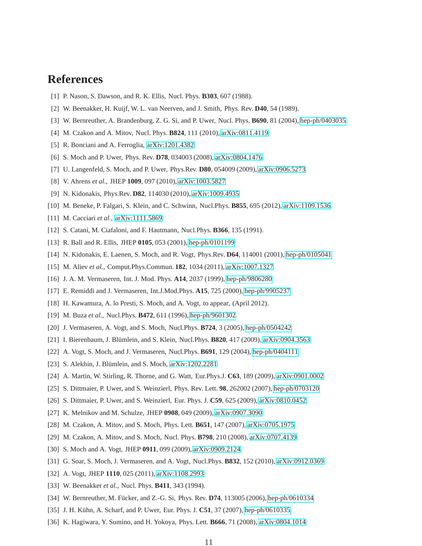## <span id="page-11-0"></span>**References**

- <span id="page-11-1"></span>[1] P. Nason, S. Dawson, and R. K. Ellis, Nucl. Phys. **B303**, 607 (1988).
- <span id="page-11-2"></span>[2] W. Beenakker, H. Kuijf, W. L. van Neerven, and J. Smith, Phys. Rev. **D40**, 54 (1989).
- <span id="page-11-3"></span>[3] W. Bernreuther, A. Brandenburg, Z. G. Si, and P. Uwer, Nucl. Phys. **B690**, 81 (2004), [hep-ph/0403035.](http://arxiv.org/abs/hep-ph/0403035)
- <span id="page-11-4"></span>[4] M. Czakon and A. Mitov, Nucl. Phys. **B824**, 111 (2010), [arXiv:0811.4119.](http://arxiv.org/abs/0811.4119)
- <span id="page-11-5"></span>[5] R. Bonciani and A. Ferroglia, [arXiv:1201.4382.](http://arxiv.org/abs/1201.4382)
- <span id="page-11-6"></span>[6] S. Moch and P. Uwer, Phys. Rev. **D78**, 034003 (2008), [arXiv:0804.1476.](http://arxiv.org/abs/0804.1476)
- [7] U. Langenfeld, S. Moch, and P. Uwer, Phys.Rev. **D80**, 054009 (2009), [arXiv:0906.5273.](http://arxiv.org/abs/0906.5273)
- [8] V. Ahrens *et al.*, JHEP **1009**, 097 (2010), [arXiv:1003.5827.](http://arxiv.org/abs/1003.5827)
- <span id="page-11-30"></span>[9] N. Kidonakis, Phys.Rev. **D82**, 114030 (2010), [arXiv:1009.4935.](http://arxiv.org/abs/1009.4935)
- <span id="page-11-7"></span>[10] M. Beneke, P. Falgari, S. Klein, and C. Schwinn, Nucl.Phys. **B855**, 695 (2012), [arXiv:1109.1536.](http://arxiv.org/abs/1109.1536)
- <span id="page-11-8"></span>[11] M. Cacciari *et al.*, [arXiv:1111.5869.](http://arxiv.org/abs/1111.5869)
- <span id="page-11-9"></span>[12] S. Catani, M. Ciafaloni, and F. Hautmann, Nucl.Phys. **B366**, 135 (1991).
- <span id="page-11-10"></span>[13] R. Ball and R. Ellis, JHEP **0105**, 053 (2001), [hep-ph/0101199.](http://arxiv.org/abs/hep-ph/0101199)
- <span id="page-11-11"></span>[14] N. Kidonakis, E. Laenen, S. Moch, and R. Vogt, Phys.Rev. **D64**, 114001 (2001), [hep-ph/0105041.](http://arxiv.org/abs/hep-ph/0105041)
- <span id="page-11-12"></span>[15] M. Aliev *et al.*, Comput.Phys.Commun. **182**, 1034 (2011), [arXiv:1007.1327.](http://arxiv.org/abs/1007.1327)
- <span id="page-11-13"></span>[16] J. A. M. Vermaseren, Int. J. Mod. Phys. **A14**, 2037 (1999), [hep-ph/9806280.](http://arxiv.org/abs/hep-ph/9806280)
- <span id="page-11-14"></span>[17] E. Remiddi and J. Vermaseren, Int.J.Mod.Phys. **A15**, 725 (2000), [hep-ph/9905237.](http://arxiv.org/abs/hep-ph/9905237)
- <span id="page-11-15"></span>[18] H. Kawamura, A. lo Presti, S. Moch, and A. Vogt, to appear, (April 2012).
- <span id="page-11-16"></span>[19] M. Buza *et al.*, Nucl.Phys. **B472**, 611 (1996), [hep-ph/9601302.](http://arxiv.org/abs/hep-ph/9601302)
- <span id="page-11-17"></span>[20] J. Vermaseren, A. Vogt, and S. Moch, Nucl.Phys. **B724**, 3 (2005), [hep-ph/0504242.](http://arxiv.org/abs/hep-ph/0504242)
- <span id="page-11-18"></span>[21] I. Bierenbaum, J. Blümlein, and S. Klein, Nucl.Phys. **B820**, 417 (2009), [arXiv:0904.3563.](http://arxiv.org/abs/0904.3563)
- <span id="page-11-19"></span>[22] A. Vogt, S. Moch, and J. Vermaseren, Nucl.Phys. **B691**, 129 (2004), [hep-ph/0404111.](http://arxiv.org/abs/hep-ph/0404111)
- <span id="page-11-20"></span>[23] S. Alekhin, J. Blümlein, and S. Moch, [arXiv:1202.2281.](http://arxiv.org/abs/1202.2281)
- <span id="page-11-21"></span>[24] A. Martin, W. Stirling, R. Thorne, and G. Watt, Eur.Phys.J. **C63**, 189 (2009), [arXiv:0901.0002.](http://arxiv.org/abs/0901.0002)
- [25] S. Dittmaier, P. Uwer, and S. Weinzierl, Phys. Rev. Lett. **98**, 262002 (2007), [hep-ph/0703120.](http://arxiv.org/abs/hep-ph/0703120)
- <span id="page-11-22"></span>[26] S. Dittmaier, P. Uwer, and S. Weinzierl, Eur. Phys. J. **C59**, 625 (2009), [arXiv:0810.0452.](http://arxiv.org/abs/0810.0452)
- <span id="page-11-23"></span>[27] K. Melnikov and M. Schulze, JHEP **0908**, 049 (2009), [arXiv:0907.3090.](http://arxiv.org/abs/0907.3090)
- <span id="page-11-24"></span>[28] M. Czakon, A. Mitov, and S. Moch, Phys. Lett. **B651**, 147 (2007), [arXiv:0705.1975.](http://arxiv.org/abs/0705.1975)
- <span id="page-11-25"></span>[29] M. Czakon, A. Mitov, and S. Moch, Nucl. Phys. **B798**, 210 (2008), [arXiv:0707.4139.](http://arxiv.org/abs/0707.4139)
- <span id="page-11-26"></span>[30] S. Moch and A. Vogt, JHEP **0911**, 099 (2009), [arXiv:0909.2124.](http://arxiv.org/abs/0909.2124)
- <span id="page-11-27"></span>[31] G. Soar, S. Moch, J. Vermaseren, and A. Vogt, Nucl.Phys. **B832**, 152 (2010), [arXiv:0912.0369.](http://arxiv.org/abs/0912.0369)
- <span id="page-11-28"></span>[32] A. Vogt, JHEP **1110**, 025 (2011), [arXiv:1108.2993.](http://arxiv.org/abs/1108.2993)
- [33] W. Beenakker *et al.*, Nucl. Phys. **B411**, 343 (1994).
- <span id="page-11-29"></span>[34] W. Bernreuther, M. Fücker, and Z.-G. Si, Phys. Rev. **D74**, 113005 (2006), [hep-ph/0610334.](http://arxiv.org/abs/hep-ph/0610334)
- <span id="page-11-31"></span>[35] J. H. Kühn, A. Scharf, and P. Uwer, Eur. Phys. J. **C51**, 37 (2007), [hep-ph/0610335.](http://arxiv.org/abs/hep-ph/0610335)
- [36] K. Hagiwara, Y. Sumino, and H. Yokoya, Phys. Lett. **B666**, 71 (2008), [arXiv:0804.1014.](http://arxiv.org/abs/0804.1014)